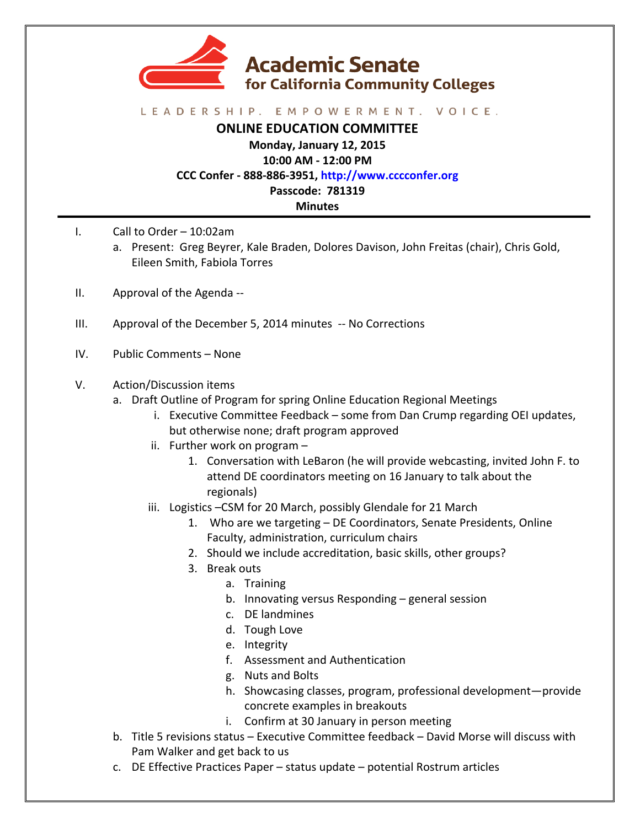

## LEADERSHIP. EMPOWERMENT. VOICE.

**ONLINE EDUCATION COMMITTEE**

**Monday, January 12, 2015**

**10:00 AM - 12:00 PM**

**CCC Confer - 888-886-3951, http://www.cccconfer.org**

**Passcode: 781319**

**Minutes**

- I. Call to Order  $-10:02$ am
	- a. Present: Greg Beyrer, Kale Braden, Dolores Davison, John Freitas (chair), Chris Gold, Eileen Smith, Fabiola Torres
- II. Approval of the Agenda --
- III. Approval of the December 5, 2014 minutes -- No Corrections
- IV. Public Comments None
- V. Action/Discussion items
	- a. Draft Outline of Program for spring Online Education Regional Meetings
		- i. Executive Committee Feedback some from Dan Crump regarding OEI updates, but otherwise none; draft program approved
		- ii. Further work on program  $-$ 
			- 1. Conversation with LeBaron (he will provide webcasting, invited John F. to attend DE coordinators meeting on 16 January to talk about the regionals)
		- iii. Logistics -CSM for 20 March, possibly Glendale for 21 March
			- 1. Who are we targeting DE Coordinators, Senate Presidents, Online Faculty, administration, curriculum chairs
			- 2. Should we include accreditation, basic skills, other groups?
			- 3. Break outs
				- a. Training
				- b. Innovating versus Responding general session
				- c. DE landmines
				- d. Tough Love
				- e. Integrity
				- f. Assessment and Authentication
				- g. Nuts and Bolts
				- h. Showcasing classes, program, professional development-provide concrete examples in breakouts
				- i. Confirm at 30 January in person meeting
	- b. Title 5 revisions status Executive Committee feedback David Morse will discuss with Pam Walker and get back to us
	- c. DE Effective Practices Paper  $-$  status update  $-$  potential Rostrum articles